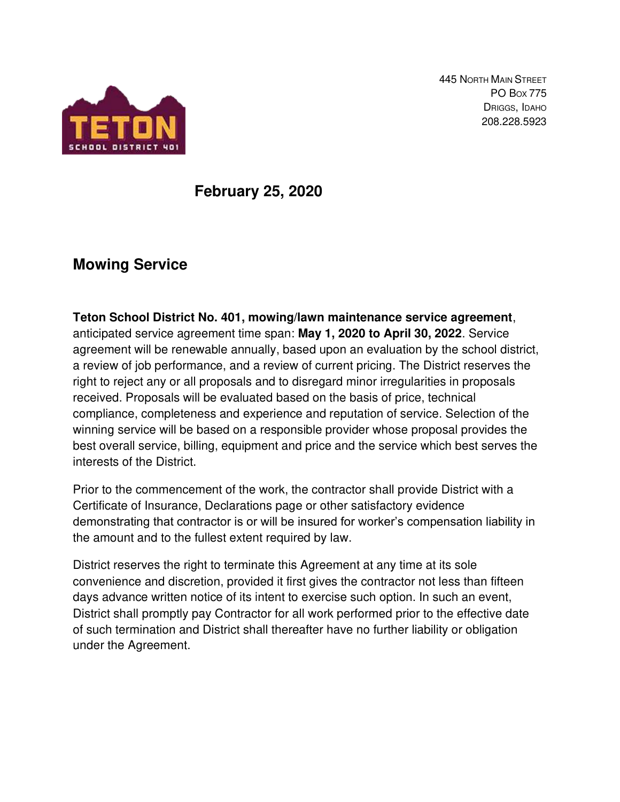

445 NORTH MAIN STREET PO BOX 775 DRIGGS, IDAHO 208.228.5923

# **February 25, 2020**

# **Mowing Service**

**Teton School District No. 401, mowing/lawn maintenance service agreement**, anticipated service agreement time span: **May 1, 2020 to April 30, 2022**. Service agreement will be renewable annually, based upon an evaluation by the school district, a review of job performance, and a review of current pricing. The District reserves the right to reject any or all proposals and to disregard minor irregularities in proposals received. Proposals will be evaluated based on the basis of price, technical compliance, completeness and experience and reputation of service. Selection of the winning service will be based on a responsible provider whose proposal provides the best overall service, billing, equipment and price and the service which best serves the interests of the District.

Prior to the commencement of the work, the contractor shall provide District with a Certificate of Insurance, Declarations page or other satisfactory evidence demonstrating that contractor is or will be insured for worker's compensation liability in the amount and to the fullest extent required by law.

District reserves the right to terminate this Agreement at any time at its sole convenience and discretion, provided it first gives the contractor not less than fifteen days advance written notice of its intent to exercise such option. In such an event, District shall promptly pay Contractor for all work performed prior to the effective date of such termination and District shall thereafter have no further liability or obligation under the Agreement.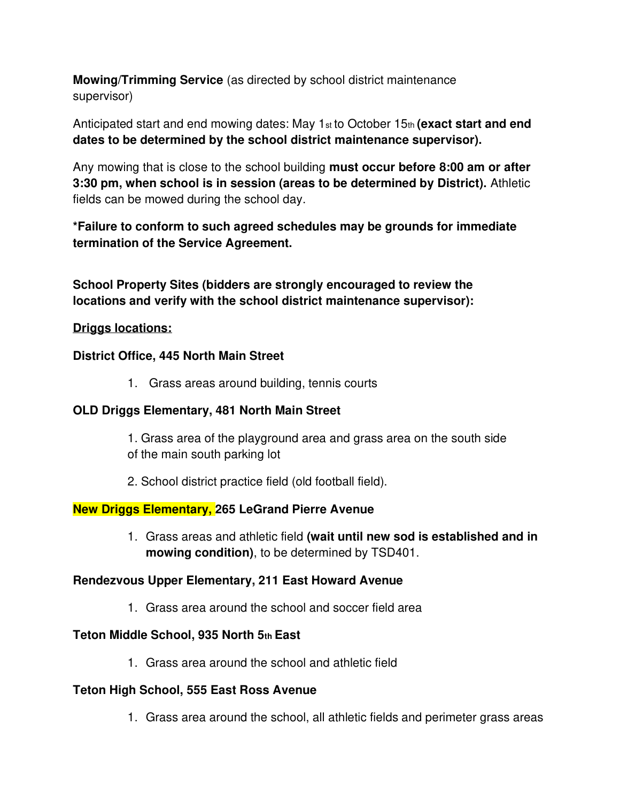**Mowing/Trimming Service** (as directed by school district maintenance supervisor)

Anticipated start and end mowing dates: May 1st to October 15th **(exact start and end dates to be determined by the school district maintenance supervisor).** 

Any mowing that is close to the school building **must occur before 8:00 am or after 3:30 pm, when school is in session (areas to be determined by District).** Athletic fields can be mowed during the school day.

**\*Failure to conform to such agreed schedules may be grounds for immediate termination of the Service Agreement.** 

**School Property Sites (bidders are strongly encouraged to review the locations and verify with the school district maintenance supervisor):** 

## **Driggs locations:**

#### **District Office, 445 North Main Street**

1. Grass areas around building, tennis courts

#### **OLD Driggs Elementary, 481 North Main Street**

1. Grass area of the playground area and grass area on the south side of the main south parking lot

2. School district practice field (old football field).

## **New Driggs Elementary, 265 LeGrand Pierre Avenue**

1. Grass areas and athletic field **(wait until new sod is established and in mowing condition)**, to be determined by TSD401.

#### **Rendezvous Upper Elementary, 211 East Howard Avenue**

1. Grass area around the school and soccer field area

## **Teton Middle School, 935 North 5th East**

1. Grass area around the school and athletic field

## **Teton High School, 555 East Ross Avenue**

1. Grass area around the school, all athletic fields and perimeter grass areas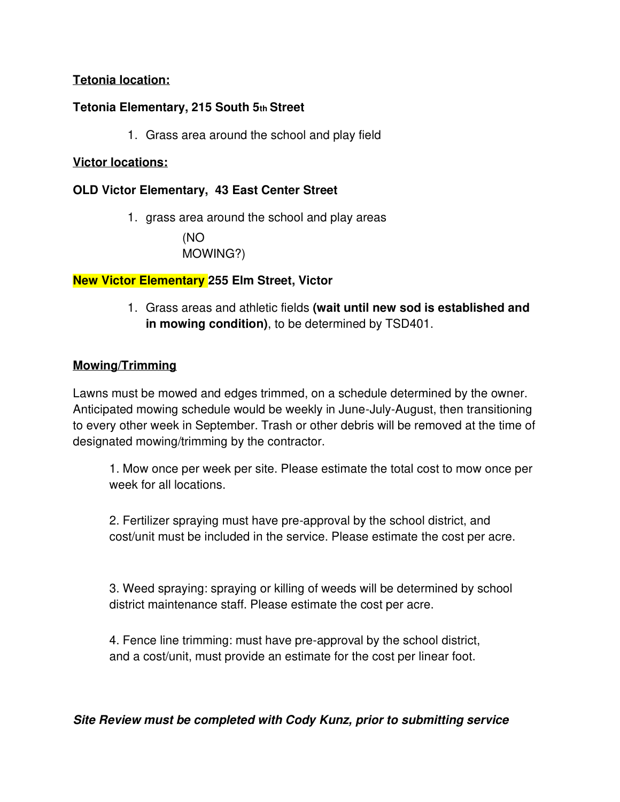## **Tetonia location:**

## **Tetonia Elementary, 215 South 5th Street**

1. Grass area around the school and play field

#### **Victor locations:**

## **OLD Victor Elementary, 43 East Center Street**

1. grass area around the school and play areas (NO MOWING?)

## **New Victor Elementary 255 Elm Street, Victor**

1. Grass areas and athletic fields **(wait until new sod is established and in mowing condition)**, to be determined by TSD401.

## **Mowing/Trimming**

Lawns must be mowed and edges trimmed, on a schedule determined by the owner. Anticipated mowing schedule would be weekly in June-July-August, then transitioning to every other week in September. Trash or other debris will be removed at the time of designated mowing/trimming by the contractor.

1. Mow once per week per site. Please estimate the total cost to mow once per week for all locations.

2. Fertilizer spraying must have pre-approval by the school district, and cost/unit must be included in the service. Please estimate the cost per acre.

3. Weed spraying: spraying or killing of weeds will be determined by school district maintenance staff. Please estimate the cost per acre.

4. Fence line trimming: must have pre-approval by the school district, and a cost/unit, must provide an estimate for the cost per linear foot.

**Site Review must be completed with Cody Kunz, prior to submitting service**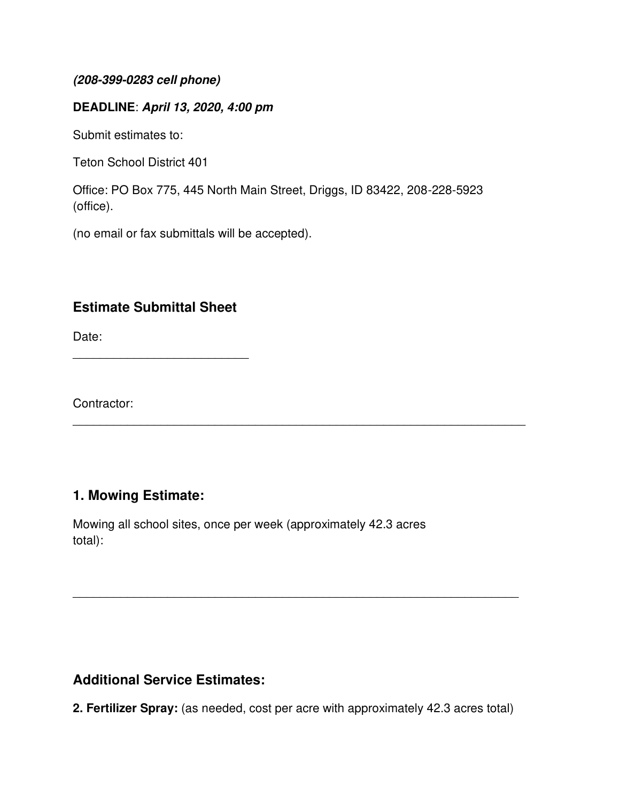#### **(208-399-0283 cell phone)**

## **DEADLINE**: **April 13, 2020, 4:00 pm**

Submit estimates to:

Teton School District 401

Office: PO Box 775, 445 North Main Street, Driggs, ID 83422, 208-228-5923 (office).

(no email or fax submittals will be accepted).

# **Estimate Submittal Sheet**

\_\_\_\_\_\_\_\_\_\_\_\_\_\_\_\_\_\_\_\_\_\_\_\_\_\_

Date:

Contractor:

# **1. Mowing Estimate:**

Mowing all school sites, once per week (approximately 42.3 acres total):

# **Additional Service Estimates:**

**2. Fertilizer Spray:** (as needed, cost per acre with approximately 42.3 acres total)

 $\overline{\phantom{a}}$  , and the contribution of the contribution of the contribution of the contribution of the contribution of the contribution of the contribution of the contribution of the contribution of the contribution of the

\_\_\_\_\_\_\_\_\_\_\_\_\_\_\_\_\_\_\_\_\_\_\_\_\_\_\_\_\_\_\_\_\_\_\_\_\_\_\_\_\_\_\_\_\_\_\_\_\_\_\_\_\_\_\_\_\_\_\_\_\_\_\_\_\_\_\_